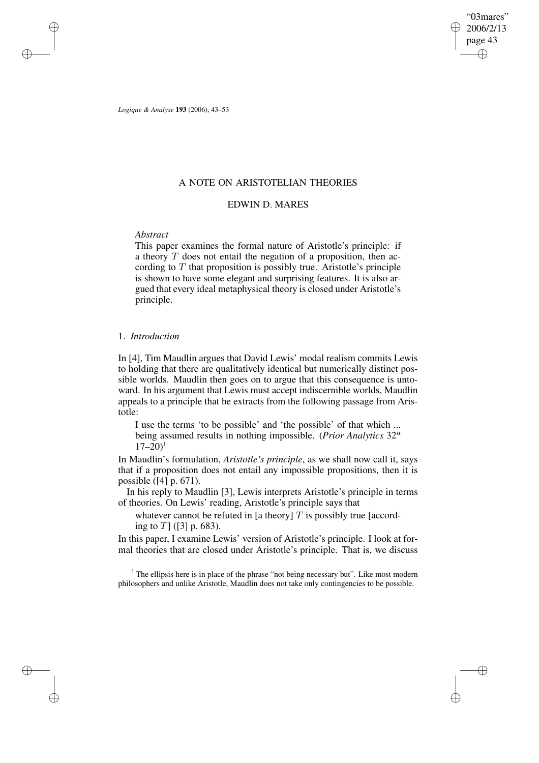"03mares" 2006/2/13 page 43 ✐ ✐

✐

✐

*Logique & Analyse* **193** (2006), 43–53

✐

✐

✐

✐

# A NOTE ON ARISTOTELIAN THEORIES

# EDWIN D. MARES

## *Abstract*

This paper examines the formal nature of Aristotle's principle: if a theory T does not entail the negation of a proposition, then according to  $T$  that proposition is possibly true. Aristotle's principle is shown to have some elegant and surprising features. It is also argued that every ideal metaphysical theory is closed under Aristotle's principle.

# 1. *Introduction*

In [4], Tim Maudlin argues that David Lewis' modal realism commits Lewis to holding that there are qualitatively identical but numerically distinct possible worlds. Maudlin then goes on to argue that this consequence is untoward. In his argument that Lewis must accept indiscernible worlds, Maudlin appeals to a principle that he extracts from the following passage from Aristotle:

I use the terms 'to be possible' and 'the possible' of that which ... being assumed results in nothing impossible. (*Prior Analytics* 32<sup>a</sup>  $17-20$ <sup>1</sup>

In Maudlin's formulation, *Aristotle's principle*, as we shall now call it, says that if a proposition does not entail any impossible propositions, then it is possible ([4] p. 671).

In his reply to Maudlin [3], Lewis interprets Aristotle's principle in terms of theories. On Lewis' reading, Aristotle's principle says that

whatever cannot be refuted in [a theory]  $T$  is possibly true [according to  $T$ ] ([3] p. 683).

In this paper, I examine Lewis' version of Aristotle's principle. I look at formal theories that are closed under Aristotle's principle. That is, we discuss

<sup>1</sup> The ellipsis here is in place of the phrase "not being necessary but". Like most modern philosophers and unlike Aristotle, Maudlin does not take only contingencies to be possible.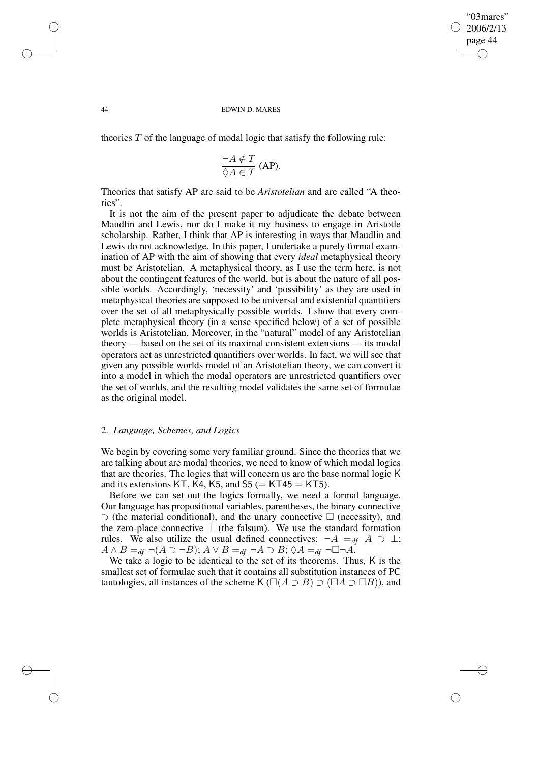✐

### 44 EDWIN D. MARES

theories  $T$  of the language of modal logic that satisfy the following rule:

$$
\frac{\neg A \notin T}{\Diamond A \in T}
$$
 (AP).

Theories that satisfy AP are said to be *Aristotelian* and are called "A theories".

It is not the aim of the present paper to adjudicate the debate between Maudlin and Lewis, nor do I make it my business to engage in Aristotle scholarship. Rather, I think that AP is interesting in ways that Maudlin and Lewis do not acknowledge. In this paper, I undertake a purely formal examination of AP with the aim of showing that every *ideal* metaphysical theory must be Aristotelian. A metaphysical theory, as I use the term here, is not about the contingent features of the world, but is about the nature of all possible worlds. Accordingly, 'necessity' and 'possibility' as they are used in metaphysical theories are supposed to be universal and existential quantifiers over the set of all metaphysically possible worlds. I show that every complete metaphysical theory (in a sense specified below) of a set of possible worlds is Aristotelian. Moreover, in the "natural" model of any Aristotelian theory — based on the set of its maximal consistent extensions — its modal operators act as unrestricted quantifiers over worlds. In fact, we will see that given any possible worlds model of an Aristotelian theory, we can convert it into a model in which the modal operators are unrestricted quantifiers over the set of worlds, and the resulting model validates the same set of formulae as the original model.

## 2. *Language, Schemes, and Logics*

We begin by covering some very familiar ground. Since the theories that we are talking about are modal theories, we need to know of which modal logics that are theories. The logics that will concern us are the base normal logic K and its extensions KT, K4, K5, and S5 ( $=$  KT45  $=$  KT5).

Before we can set out the logics formally, we need a formal language. Our language has propositional variables, parentheses, the binary connective ⊃ (the material conditional), and the unary connective  $\Box$  (necessity), and the zero-place connective  $\perp$  (the falsum). We use the standard formation rules. We also utilize the usual defined connectives:  $\neg A =_{df} A \supset \bot$ ;  $A \wedge B =_{df} \neg(A \supset \neg B); A \vee B =_{df} \neg A \supset B; \Diamond A =_{df} \neg \Box \neg A.$ 

We take a logic to be identical to the set of its theorems. Thus, K is the smallest set of formulae such that it contains all substitution instances of PC tautologies, all instances of the scheme K ( $\Box(A \supset B) \supset (\Box A \supset \Box B)$ ), and

✐

✐

✐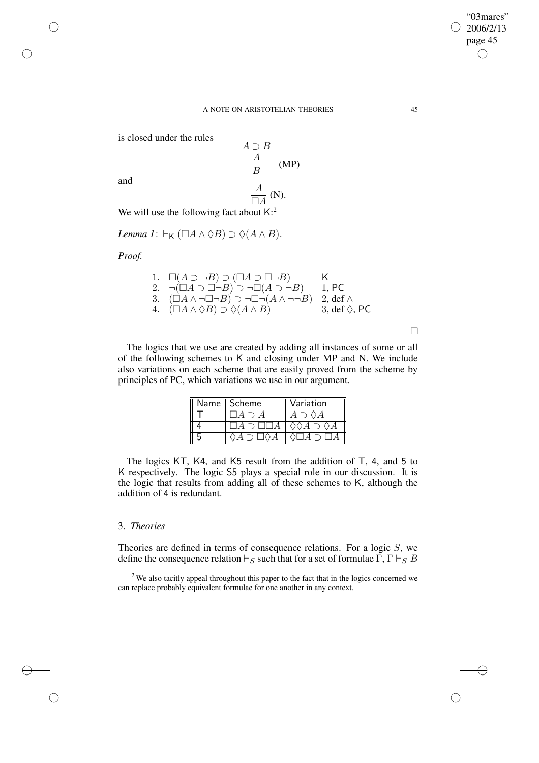✐

### A NOTE ON ARISTOTELIAN THEORIES 45

is closed under the rules

 $A \supset B$ A  $\frac{1}{B}$  (MP) A  $\frac{A}{\Box A}$  (N).

and

✐

✐

✐

✐

We will use the following fact about  $K$ <sup>2</sup>

*Lemma*  $I: \vdash_{\mathsf{K}} (\Box A \land \Diamond B) \supset \Diamond (A \land B).$ 

*Proof.*

1. 
$$
\Box(A \supset \neg B) \supset (\Box A \supset \Box \neg B)
$$
  
\n2.  $\neg(\Box A \supset \Box \neg B) \supset \neg \Box(A \supset \neg B)$   
\n3.  $(\Box A \land \neg \Box \neg B) \supset \neg \Box \neg (A \land \neg \neg B)$   
\n4.  $(\Box A \land \Diamond B) \supset \Diamond(A \land B)$   
\n5.  $\Diamond(A \land B)$   
\n6.  $\Diamond B \cap C$ 

 $\Box$ 

The logics that we use are created by adding all instances of some or all of the following schemes to K and closing under MP and N. We include also variations on each scheme that are easily proved from the scheme by principles of PC, which variations we use in our argument.

| Name   Scheme | Variation |
|---------------|-----------|
|               |           |
|               |           |
|               |           |

The logics KT, K4, and K5 result from the addition of T, 4, and 5 to K respectively. The logic S5 plays a special role in our discussion. It is the logic that results from adding all of these schemes to K, although the addition of 4 is redundant.

## 3. *Theories*

Theories are defined in terms of consequence relations. For a logic  $S$ , we define the consequence relation  $\vdash_S$  such that for a set of formulae  $\Gamma$ ,  $\Gamma \vdash_S B$ 

 $2$  We also tacitly appeal throughout this paper to the fact that in the logics concerned we can replace probably equivalent formulae for one another in any context.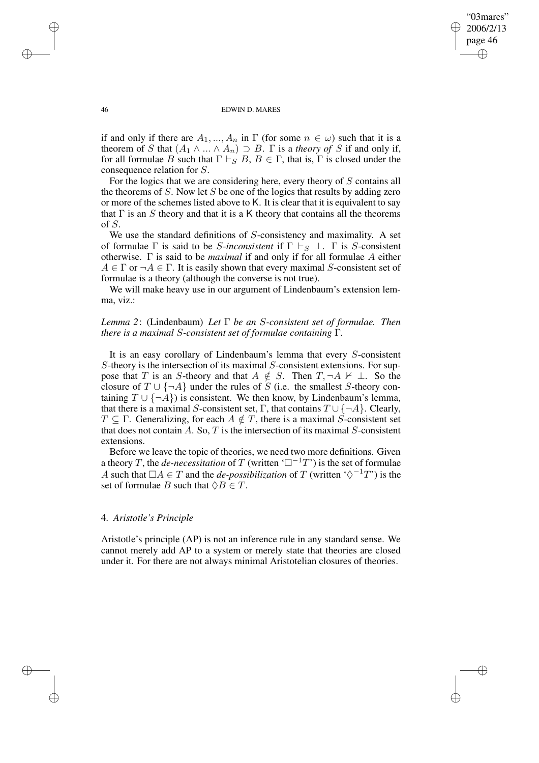✐

### 46 EDWIN D. MARES

if and only if there are  $A_1, ..., A_n$  in  $\Gamma$  (for some  $n \in \omega$ ) such that it is a theorem of S that  $(A_1 \wedge ... \wedge A_n) \supset B$ .  $\Gamma$  is a *theory* of S if and only if, for all formulae B such that  $\Gamma \vdash_S B$ ,  $B \in \Gamma$ , that is,  $\Gamma$  is closed under the consequence relation for S.

For the logics that we are considering here, every theory of S contains all the theorems of  $S$ . Now let  $S$  be one of the logics that results by adding zero or more of the schemes listed above to K. It is clear that it is equivalent to say that  $\Gamma$  is an S theory and that it is a K theory that contains all the theorems of S.

We use the standard definitions of S-consistency and maximality. A set of formulae  $\Gamma$  is said to be *S*-inconsistent if  $\Gamma \vdash_S \bot$ .  $\Gamma$  is *S*-consistent otherwise. Γ is said to be *maximal* if and only if for all formulae A either  $A \in \Gamma$  or  $\neg A \in \Gamma$ . It is easily shown that every maximal S-consistent set of formulae is a theory (although the converse is not true).

We will make heavy use in our argument of Lindenbaum's extension lemma, viz.:

# *Lemma 2*: (Lindenbaum) *Let* Γ *be an* S*-consistent set of formulae. Then there is a maximal* S*-consistent set of formulae containing* Γ*.*

It is an easy corollary of Lindenbaum's lemma that every S-consistent S-theory is the intersection of its maximal S-consistent extensions. For suppose that T is an S-theory and that  $A \notin S$ . Then  $T, \neg A \nvdash \bot$ . So the closure of  $T \cup \{\neg A\}$  under the rules of S (i.e. the smallest S-theory containing  $T \cup \{\neg A\}$ ) is consistent. We then know, by Lindenbaum's lemma, that there is a maximal S-consistent set, Γ, that contains  $T \cup \{\neg A\}$ . Clearly,  $T \subseteq \Gamma$ . Generalizing, for each  $A \notin T$ , there is a maximal S-consistent set that does not contain  $A$ . So,  $T$  is the intersection of its maximal  $S$ -consistent extensions.

Before we leave the topic of theories, we need two more definitions. Given a theory T, the *de-necessitation* of T (written  $\Box^{-1}T'$ ) is the set of formulae A such that  $\Box A \in T$  and the *de-possibilization* of T (written ' $\Diamond^{-1}T$ ') is the set of formulae B such that  $\Diamond B \in T$ .

### 4. *Aristotle's Principle*

Aristotle's principle (AP) is not an inference rule in any standard sense. We cannot merely add AP to a system or merely state that theories are closed under it. For there are not always minimal Aristotelian closures of theories.

✐

✐

✐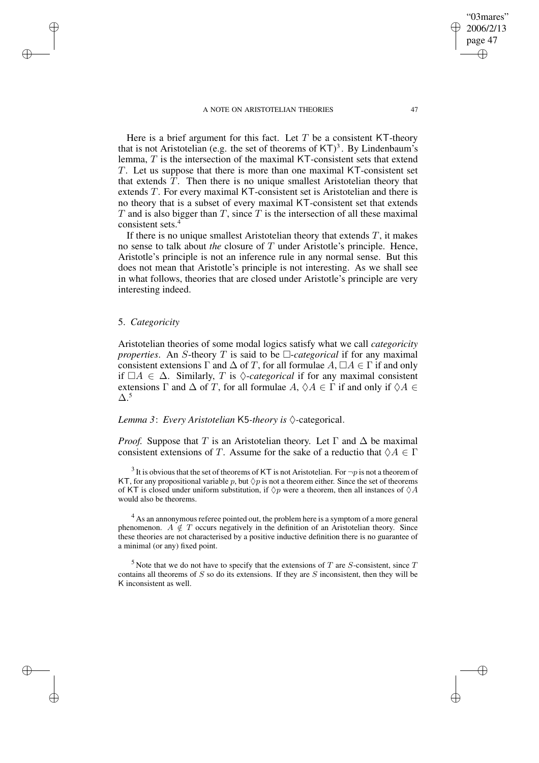#### A NOTE ON ARISTOTELIAN THEORIES 47

✐

✐

"03mares"

Here is a brief argument for this fact. Let  $T$  be a consistent KT-theory that is not Aristotelian (e.g. the set of theorems of  $KT)^3$ . By Lindenbaum's lemma,  $T$  is the intersection of the maximal KT-consistent sets that extend T. Let us suppose that there is more than one maximal KT-consistent set that extends T. Then there is no unique smallest Aristotelian theory that extends T. For every maximal KT-consistent set is Aristotelian and there is no theory that is a subset of every maximal KT-consistent set that extends T and is also bigger than T, since T is the intersection of all these maximal consistent sets.<sup>4</sup>

If there is no unique smallest Aristotelian theory that extends  $T$ , it makes no sense to talk about *the* closure of T under Aristotle's principle. Hence, Aristotle's principle is not an inference rule in any normal sense. But this does not mean that Aristotle's principle is not interesting. As we shall see in what follows, theories that are closed under Aristotle's principle are very interesting indeed.

## 5. *Categoricity*

✐

✐

✐

✐

Aristotelian theories of some modal logics satisfy what we call *categoricity properties*. An S-theory T is said to be  $\Box$ -categorical if for any maximal consistent extensions  $\Gamma$  and  $\Delta$  of T, for all formulae  $A, \Box A \in \Gamma$  if and only if  $\Box A$  ∈  $\Delta$ . Similarly, T is  $\Diamond$ -*categorical* if for any maximal consistent extensions  $\Gamma$  and  $\Delta$  of T, for all formulae  $A, \Diamond A \in \Gamma$  if and only if  $\Diamond A \in$  $\Delta$ .<sup>5</sup>

*Lemma* 3: *Every Aristotelian* K5-*theory is*  $\Diamond$ -categorical.

*Proof.* Suppose that T is an Aristotelian theory. Let  $\Gamma$  and  $\Delta$  be maximal consistent extensions of T. Assume for the sake of a reductio that  $\Diamond A \in \Gamma$ 

<sup>&</sup>lt;sup>3</sup> It is obvious that the set of theorems of KT is not Aristotelian. For  $\neg p$  is not a theorem of KT, for any propositional variable p, but  $\Diamond p$  is not a theorem either. Since the set of theorems of KT is closed under uniform substitution, if  $\Diamond p$  were a theorem, then all instances of  $\Diamond A$ would also be theorems.

 $4$  As an annonymous referee pointed out, the problem here is a symptom of a more general phenomenon.  $A \notin T$  occurs negatively in the definition of an Aristotelian theory. Since these theories are not characterised by a positive inductive definition there is no guarantee of a minimal (or any) fixed point.

 $<sup>5</sup>$  Note that we do not have to specify that the extensions of T are S-consistent, since T</sup> contains all theorems of  $S$  so do its extensions. If they are  $S$  inconsistent, then they will be K inconsistent as well.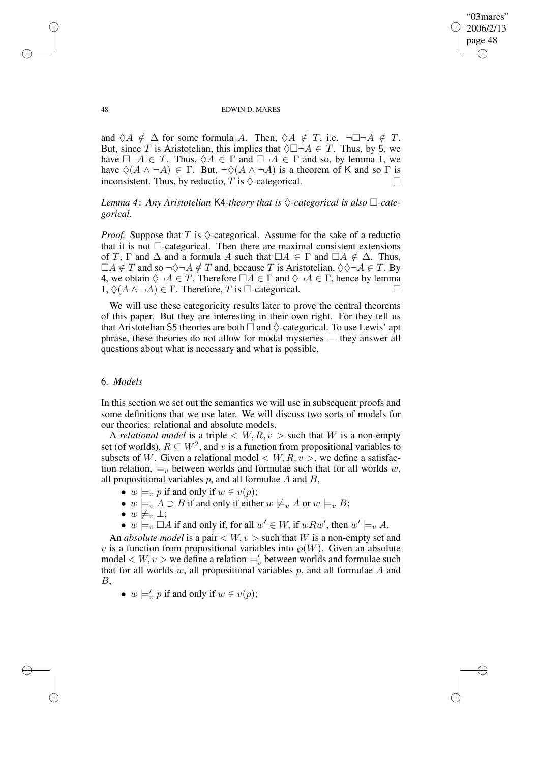✐

### 48 EDWIN D. MARES

and  $\Diamond A \notin \Delta$  for some formula A. Then,  $\Diamond A \notin T$ , i.e.  $\neg \Box \neg A \notin T$ . But, since T is Aristotelian, this implies that  $\Diamond \Box \neg A \in T$ . Thus, by 5, we have  $\Box \neg A \in T$ . Thus,  $\Diamond A \in \Gamma$  and  $\Box \neg A \in \Gamma$  and so, by lemma 1, we have  $\Diamond(A \land \neg A) \in \Gamma$ . But,  $\neg \Diamond(A \land \neg A)$  is a theorem of K and so  $\Gamma$  is inconsistent. Thus, by reductio, T is  $\Diamond$ -categorical.

# *Lemma* 4: Any *Aristotelian* K4-theory that is  $\Diamond$ -categorical is also  $\Box$ -cate*gorical.*

*Proof.* Suppose that T is  $\Diamond$ -categorical. Assume for the sake of a reductio that it is not  $\Box$ -categorical. Then there are maximal consistent extensions of T,  $\Gamma$  and  $\Delta$  and a formula A such that  $\Box A \in \Gamma$  and  $\Box A \notin \Delta$ . Thus,  $\Box A \notin T$  and so  $\neg \Diamond \neg A \notin T$  and, because T is Aristotelian,  $\Diamond \Diamond \neg A \in T$ . By 4, we obtain  $\Diamond \neg A \in T$ . Therefore  $\Box A \in \Gamma$  and  $\Diamond \neg A \in \Gamma$ , hence by lemma  $1, \Diamond(A \land \neg A) \in \Gamma$ . Therefore, T is  $\Box$ -categorical.

We will use these categoricity results later to prove the central theorems of this paper. But they are interesting in their own right. For they tell us that Aristotelian S5 theories are both  $\Box$  and  $\Diamond$ -categorical. To use Lewis' apt phrase, these theories do not allow for modal mysteries — they answer all questions about what is necessary and what is possible.

# 6. *Models*

In this section we set out the semantics we will use in subsequent proofs and some definitions that we use later. We will discuss two sorts of models for our theories: relational and absolute models.

A *relational model* is a triple  $\langle W, R, v \rangle$  such that W is a non-empty set (of worlds),  $R \subseteq W^2$ , and v is a function from propositional variables to subsets of W. Given a relational model  $\langle W, R, v \rangle$ , we define a satisfaction relation,  $\models_{v}$  between worlds and formulae such that for all worlds w, all propositional variables  $p$ , and all formulae  $A$  and  $B$ ,

- $w \models_v p$  if and only if  $w \in v(p)$ ;
- $w \models_{v} A \supset B$  if and only if either  $w \not\models_{v} A$  or  $w \models_{v} B;$
- $w \not\models_v \bot;$
- $w \models_v \Box A$  if and only if, for all  $w' \in W$ , if  $wRw'$ , then  $w' \models_v A$ .

An *absolute model* is a pair  $\langle W, v \rangle$  such that W is a non-empty set and v is a function from propositional variables into  $\mathcal{P}(W)$ . Given an absolute model  $\langle W, v \rangle$  we define a relation  $\models_v'$  between worlds and formulae such that for all worlds  $w$ , all propositional variables  $p$ , and all formulae  $A$  and B,

•  $w \models_v' p$  if and only if  $w \in v(p)$ ;

✐

✐

✐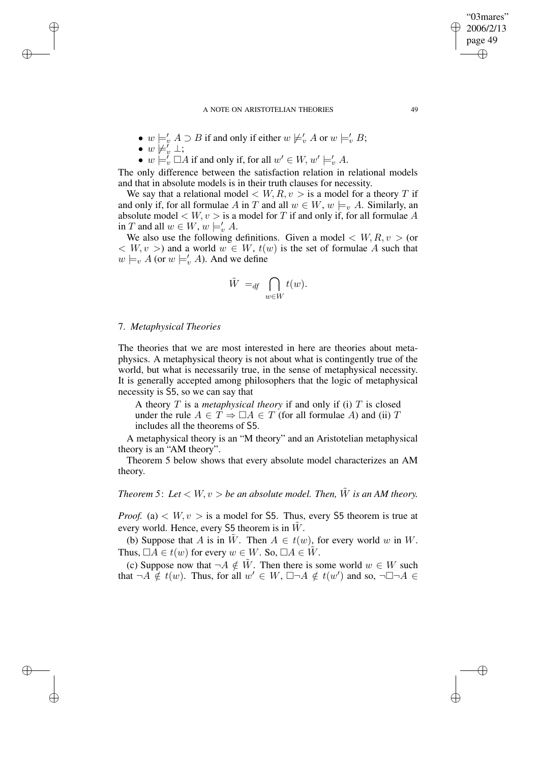#### A NOTE ON ARISTOTELIAN THEORIES 49

- $w \models'_v A \supset B$  if and only if either  $w \not\models'_v A$  or  $w \models'_v B$ ;
- $\bullet \; w \not\models_{v}^{\check\iota} \bot;$

✐

✐

✐

✐

•  $w \models_v' \Box A$  if and only if, for all  $w' \in W$ ,  $w' \models_v' A$ .

The only difference between the satisfaction relation in relational models and that in absolute models is in their truth clauses for necessity.

We say that a relational model  $\langle W, R, v \rangle$  is a model for a theory T if and only if, for all formulae A in T and all  $w \in W$ ,  $w \models_{v} A$ . Similarly, an absolute model  $\langle W, v \rangle$  is a model for T if and only if, for all formulae A in T and all  $w \in W, w \models'_v A$ .

We also use the following definitions. Given a model  $\langle W, R, v \rangle$  (or  $\langle W, v \rangle$  and a world  $w \in W$ ,  $t(w)$  is the set of formulae A such that  $w \models_v A$  (or  $w \models_v' A$ ). And we define

$$
\tilde{W} =_{df} \bigcap_{w \in W} t(w).
$$

## 7. *Metaphysical Theories*

The theories that we are most interested in here are theories about metaphysics. A metaphysical theory is not about what is contingently true of the world, but what is necessarily true, in the sense of metaphysical necessity. It is generally accepted among philosophers that the logic of metaphysical necessity is S5, so we can say that

A theory T is a *metaphysical theory* if and only if (i) T is closed under the rule  $A \in T \Rightarrow \Box A \in T$  (for all formulae A) and (ii) T includes all the theorems of S5.

A metaphysical theory is an "M theory" and an Aristotelian metaphysical theory is an "AM theory".

Theorem 5 below shows that every absolute model characterizes an AM theory.

*Theorem* 5: Let  $\langle W, v \rangle$  *be an absolute model. Then,*  $\tilde{W}$  *is an AM theory.* 

*Proof.* (a)  $\lt W, v >$  is a model for S5. Thus, every S5 theorem is true at every world. Hence, every  $S5$  theorem is in  $W$ .

(b) Suppose that A is in  $\tilde{W}$ . Then  $A \in t(w)$ , for every world w in W. Thus,  $\Box A \in t(w)$  for every  $w \in W$ . So,  $\Box A \in \tilde{W}$ .

(c) Suppose now that  $\neg A \notin \tilde{W}$ . Then there is some world  $w \in W$  such that  $\neg A \notin t(w)$ . Thus, for all  $w' \in W$ ,  $\Box \neg A \notin t(w')$  and so,  $\neg \Box \neg A \in$ 

"03mares" 2006/2/13 page 49

✐

✐

✐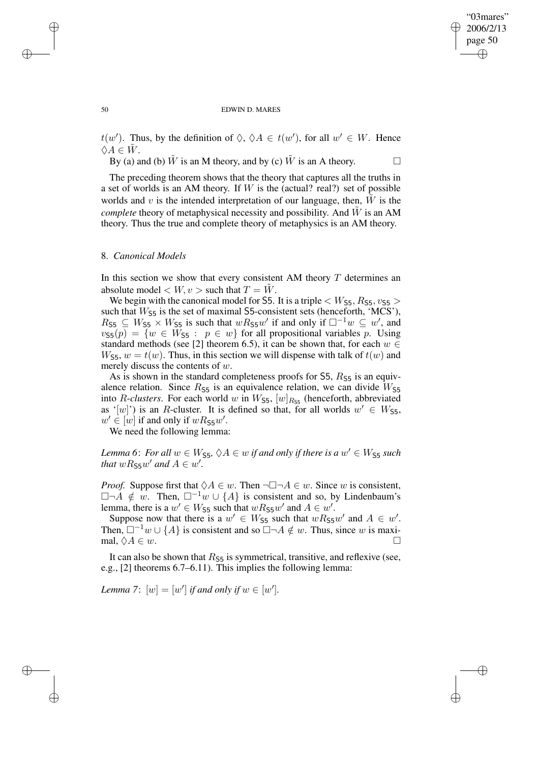✐

#### 50 EDWIN D. MARES

 $t(w')$ . Thus, by the definition of  $\Diamond$ ,  $\Diamond A \in t(w')$ , for all  $w' \in W$ . Hence  $\Diamond A \in \overline{W}$ .

By (a) and (b)  $\tilde{W}$  is an M theory, and by (c)  $\tilde{W}$  is an A theory.

The preceding theorem shows that the theory that captures all the truths in a set of worlds is an AM theory. If  $W$  is the (actual? real?) set of possible worlds and  $v$  is the intended interpretation of our language, then,  $W$  is the *complete* theory of metaphysical necessity and possibility. And  $\tilde{W}$  is an AM theory. Thus the true and complete theory of metaphysics is an AM theory.

### 8. *Canonical Models*

In this section we show that every consistent AM theory  $T$  determines an absolute model  $\lt W$ ,  $v >$  such that  $T = \tilde{W}$ .

We begin with the canonical model for S5. It is a triple  $\langle W_{\text{S5}}, R_{\text{S5}}, v_{\text{S5}} \rangle$ such that  $W_{\text{S5}}$  is the set of maximal S5-consistent sets (henceforth, 'MCS'),  $R_{55} \subseteq W_{55} \times W_{55}$  is such that  $wR_{55}w'$  if and only if  $\square^{-1}w \subseteq w'$ , and  $v_{55}(p) = \{w \in W_{55} : p \in w\}$  for all propositional variables p. Using standard methods (see [2] theorem 6.5), it can be shown that, for each  $w \in$  $W_{\mathsf{S5}}$ ,  $w = t(w)$ . Thus, in this section we will dispense with talk of  $t(w)$  and merely discuss the contents of w.

As is shown in the standard completeness proofs for  $55$ ,  $R_{55}$  is an equivalence relation. Since  $R_{\text{S5}}$  is an equivalence relation, we can divide  $W_{\text{S5}}$ into *R*-*clusters*. For each world w in  $W_{\text{S5}}$ ,  $[w]_{R_{\text{S5}}}$  (henceforth, abbreviated as '[w]') is an R-cluster. It is defined so that, for all worlds  $w' \in W_{55}$ ,  $w' \in [w]$  if and only if  $wR_{\text{S5}}w'$ .

We need the following lemma:

*Lemma* 6: For all  $w \in W_{55}$ ,  $\Diamond A \in w$  if and only if there is a  $w' \in W_{55}$  such *that*  $wR$ <sub>55</sub> $w'$  *and*  $A \in w'$ .

*Proof.* Suppose first that  $\Diamond A \in w$ . Then  $\neg \Box \neg A \in w$ . Since w is consistent,  $\Box \neg A \notin w$ . Then,  $\Box^{-1}w \cup \{A\}$  is consistent and so, by Lindenbaum's lemma, there is a  $w' \in W_{55}$  such that  $wR_{55}w'$  and  $A \in w'$ .

Suppose now that there is a  $w' \in W_{\text{SS}}$  such that  $wR_{\text{SS}}w'$  and  $A \in w'$ . Then,  $\square^{-1}w \cup \{A\}$  is consistent and so  $\square \neg A \notin w$ . Thus, since w is maximal,  $\Diamond A \in w$ .

It can also be shown that  $R_{\text{S5}}$  is symmetrical, transitive, and reflexive (see, e.g., [2] theorems 6.7–6.11). This implies the following lemma:

*Lemma* 7:  $[w] = [w']$  *if and only if*  $w \in [w']$ *.* 

✐

✐

✐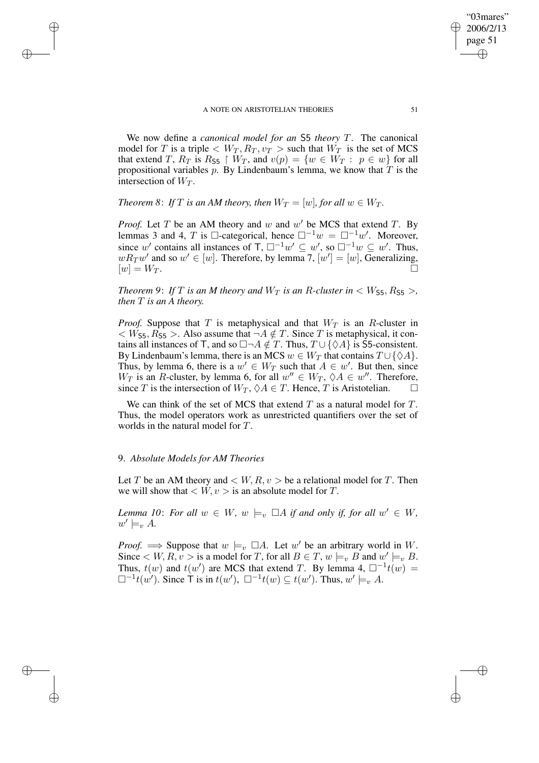We now define a *canonical model for an* S5 *theory* T. The canonical model for T is a triple  $\langle W_T, R_T, v_T \rangle$  such that  $W_T$  is the set of MCS that extend T,  $R_T$  is  $R_{55} \restriction W_T$ , and  $v(p) = \{w \in W_T : p \in w\}$  for all propositional variables p. By Lindenbaum's lemma, we know that  $T$  is the intersection of  $W_T$ .

*Theorem* 8: *If T is an AM theory, then*  $W_T = [w]$ *, for all*  $w \in W_T$ *.* 

*Proof.* Let  $T$  be an AM theory and  $w$  and  $w'$  be MCS that extend  $T$ . By lemmas 3 and 4, T is □-categorical, hence  $\Box^{-1}w = \Box^{-1}w'$ . Moreover, since w' contains all instances of  $\top$ ,  $\square^{-1}w' \subseteq w'$ , so  $\square^{-1}w \subseteq w'$ . Thus,  $wR_Tw'$  and so  $w' \in [w]$ . Therefore, by lemma 7,  $[w'] = [w]$ , Generalizing,  $[w] = W_T.$ 

*Theorem* 9: *If T is an M theory and*  $W_T$  *is an R*-*cluster in*  $\lt W_{55}$ ,  $R_{55}$ , *then* T *is an A theory.*

*Proof.* Suppose that T is metaphysical and that  $W_T$  is an R-cluster in  $\langle W_{55}, R_{55} \rangle$ . Also assume that  $\neg A \notin T$ . Since T is metaphysical, it contains all instances of T, and so  $\Box\neg A \notin T$ . Thus,  $T \cup {\Diamond A}$  is S5-consistent. By Lindenbaum's lemma, there is an MCS  $w \in W_T$  that contains  $T \cup {\{\Diamond A\}}$ . Thus, by lemma 6, there is a  $w' \in W_T$  such that  $A \in w'$ . But then, since  $W_T$  is an R-cluster, by lemma 6, for all  $w'' \in W_T$ ,  $\Diamond A \in w''$ . Therefore, since T is the intersection of  $W_T$ ,  $\Diamond A \in T$ . Hence, T is Aristotelian.

We can think of the set of MCS that extend  $T$  as a natural model for  $T$ . Thus, the model operators work as unrestricted quantifiers over the set of worlds in the natural model for T.

## 9. *Absolute Models for AM Theories*

✐

✐

✐

✐

Let T be an AM theory and  $\lt W, R, v >$  be a relational model for T. Then we will show that  $\langle W, v \rangle$  is an absolute model for T.

*Lemma* 10: For all  $w \in W$ ,  $w \models_v \Box A$  *if and only if, for all*  $w' \in W$ ,  $w' \models_v A$ .

*Proof.*  $\implies$  Suppose that  $w \models_v \Box A$ . Let  $w'$  be an arbitrary world in W. Since  $\lt W, R, v >$  is a model for T, for all  $B \in T$ ,  $w \models_v B$  and  $w' \models_v B$ . Thus,  $t(w)$  and  $t(w')$  are MCS that extend T. By lemma 4,  $\Box^{-1}t(w)$  =  $\Box^{-1}t(w')$ . Since  $\overline{\mathsf{T}}$  is in  $t(w')$ ,  $\Box^{-1}t(w) \subseteq t(w')$ . Thus,  $w' \models_{v} A$ .

"03mares" 2006/2/13 page 51

✐

✐

✐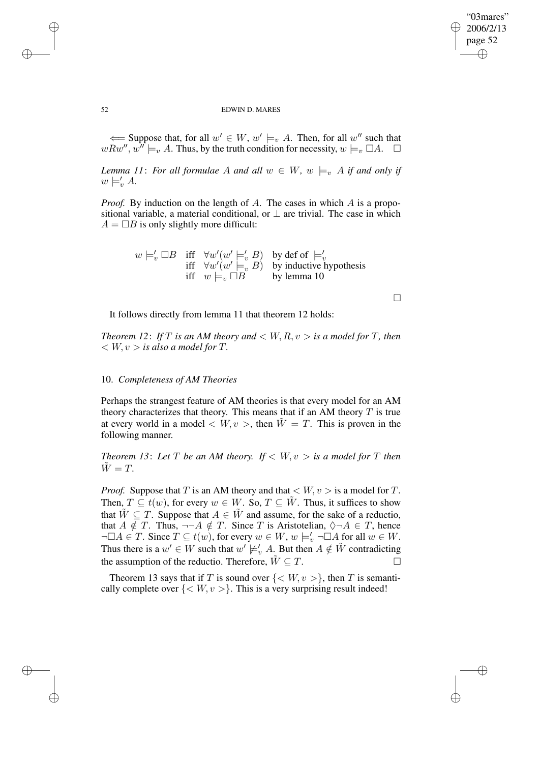✐

### 52 EDWIN D. MARES

← Suppose that, for all  $w' \in W$ ,  $w' \models_v A$ . Then, for all  $w''$  such that  $wRw''$ ,  $w''\models_v A$ . Thus, by the truth condition for necessity,  $w\models_v \Box A$ .  $\Box$ 

*Lemma* 11: For all formulae A and all  $w \in W$ ,  $w \models_{v} A$  if and only if  $w \models'_v A$ .

*Proof.* By induction on the length of A. The cases in which A is a propositional variable, a material conditional, or  $\perp$  are trivial. The case in which  $A = \Box B$  is only slightly more difficult:

$$
w \models'_v \Box B \quad \text{iff} \quad \forall w'(w' \models'_v B) \quad \text{by def of } \models'_v\n\text{iff} \quad \forall w'(w' \models_v B) \quad \text{by inductive hypothesis}\n\text{iff} \quad w \models_v \Box B \qquad \text{by lemma 10}
$$

 $\Box$ 

It follows directly from lemma 11 that theorem 12 holds:

*Theorem* 12: If T is an AM theory and  $\lt W, R, v >$  is a model for T, then  $W, v > is also a model for T.$ 

## 10. *Completeness of AM Theories*

Perhaps the strangest feature of AM theories is that every model for an AM theory characterizes that theory. This means that if an AM theory  $T$  is true at every world in a model  $\langle W, v \rangle$ , then  $\tilde{W} = T$ . This is proven in the following manner.

*Theorem* 13: Let *T* be an AM theory. If  $\lt W, v > i$  and *model* for *T* then  $\tilde{W} = T$ .

*Proof.* Suppose that T is an AM theory and that  $\langle W, v \rangle$  is a model for T. Then,  $T \subseteq t(w)$ , for every  $w \in W$ . So,  $T \subseteq \tilde{W}$ . Thus, it suffices to show that  $\tilde{W} \subseteq T$ . Suppose that  $A \in \tilde{W}$  and assume, for the sake of a reductio, that  $A \notin T$ . Thus,  $\neg\neg A \notin T$ . Since T is Aristotelian,  $\Diamond \neg A \in T$ , hence  $\neg \Box A \in T$ . Since  $T \subseteq t(w)$ , for every  $w \in W$ ,  $w \models'_v \neg \Box A$  for all  $w \in W$ . Thus there is a  $w' \in W$  such that  $w' \not\models_v' A$ . But then  $A \notin \tilde{W}$  contradicting the assumption of the reductio. Therefore,  $\tilde{W} \subseteq T$ .

Theorem 13 says that if T is sound over  $\{< W, v>\}$ , then T is semantically complete over  $\{<\mathit{W},\mathit{v}>\}$ . This is a very surprising result indeed!

✐

✐

✐